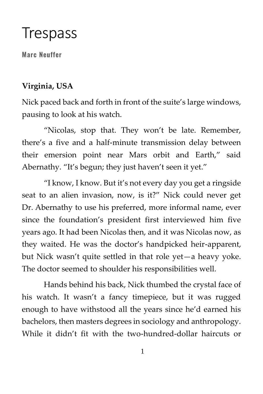# **Trespass**

**Marc Neuffer**

#### **Virginia, USA**

Nick paced back and forth in front of the suite's large windows, pausing to look at his watch.

"Nicolas, stop that. They won't be late. Remember, there's a five and a half-minute transmission delay between their emersion point near Mars orbit and Earth," said Abernathy. "It's begun; they just haven't seen it yet."

"I know, I know. But it's not every day you get a ringside seat to an alien invasion, now, is it?" Nick could never get Dr. Abernathy to use his preferred, more informal name, ever since the foundation's president first interviewed him five years ago. It had been Nicolas then, and it was Nicolas now, as they waited. He was the doctor's handpicked heir-apparent, but Nick wasn't quite settled in that role yet—a heavy yoke. The doctor seemed to shoulder his responsibilities well.

Hands behind his back, Nick thumbed the crystal face of his watch. It wasn't a fancy timepiece, but it was rugged enough to have withstood all the years since he'd earned his bachelors, then masters degrees in sociology and anthropology. While it didn't fit with the two-hundred-dollar haircuts or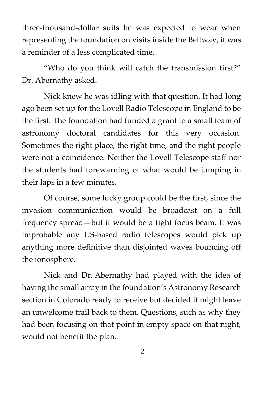three-thousand-dollar suits he was expected to wear when representing the foundation on visits inside the Beltway, it was a reminder of a less complicated time.

"Who do you think will catch the transmission first?" Dr. Abernathy asked.

Nick knew he was idling with that question. It had long ago been set up for the Lovell Radio Telescope in England to be the first. The foundation had funded a grant to a small team of astronomy doctoral candidates for this very occasion. Sometimes the right place, the right time, and the right people were not a coincidence. Neither the Lovell Telescope staff nor the students had forewarning of what would be jumping in their laps in a few minutes.

Of course, some lucky group could be the first, since the invasion communication would be broadcast on a full frequency spread—but it would be a tight focus beam. It was improbable any US-based radio telescopes would pick up anything more definitive than disjointed waves bouncing off the ionosphere.

Nick and Dr. Abernathy had played with the idea of having the small array in the foundation's Astronomy Research section in Colorado ready to receive but decided it might leave an unwelcome trail back to them. Questions, such as why they had been focusing on that point in empty space on that night, would not benefit the plan.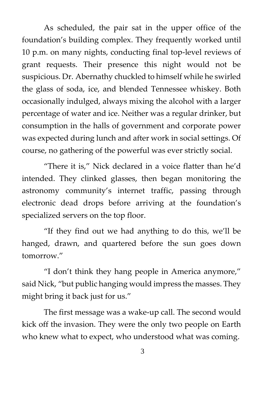As scheduled, the pair sat in the upper office of the foundation's building complex. They frequently worked until 10 p.m. on many nights, conducting final top-level reviews of grant requests. Their presence this night would not be suspicious. Dr. Abernathy chuckled to himself while he swirled the glass of soda, ice, and blended Tennessee whiskey. Both occasionally indulged, always mixing the alcohol with a larger percentage of water and ice. Neither was a regular drinker, but consumption in the halls of government and corporate power was expected during lunch and after work in social settings. Of course, no gathering of the powerful was ever strictly social.

"There it is," Nick declared in a voice flatter than he'd intended. They clinked glasses, then began monitoring the astronomy community's internet traffic, passing through electronic dead drops before arriving at the foundation's specialized servers on the top floor.

"If they find out we had anything to do this, we'll be hanged, drawn, and quartered before the sun goes down tomorrow."

"I don't think they hang people in America anymore," said Nick, "but public hanging would impress the masses. They might bring it back just for us."

The first message was a wake-up call. The second would kick off the invasion. They were the only two people on Earth who knew what to expect, who understood what was coming.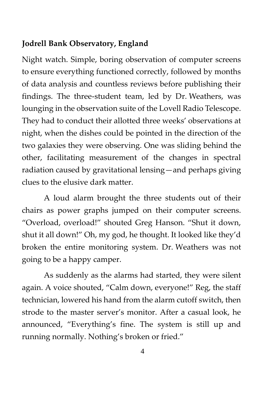#### **Jodrell Bank Observatory, England**

Night watch. Simple, boring observation of computer screens to ensure everything functioned correctly, followed by months of data analysis and countless reviews before publishing their findings. The three-student team, led by Dr. Weathers, was lounging in the observation suite of the Lovell Radio Telescope. They had to conduct their allotted three weeks' observations at night, when the dishes could be pointed in the direction of the two galaxies they were observing. One was sliding behind the other, facilitating measurement of the changes in spectral radiation caused by gravitational lensing—and perhaps giving clues to the elusive dark matter.

A loud alarm brought the three students out of their chairs as power graphs jumped on their computer screens. "Overload, overload!" shouted Greg Hanson. "Shut it down, shut it all down!" Oh, my god, he thought. It looked like they'd broken the entire monitoring system. Dr. Weathers was not going to be a happy camper.

As suddenly as the alarms had started, they were silent again. A voice shouted, "Calm down, everyone!" Reg, the staff technician, lowered his hand from the alarm cutoff switch, then strode to the master server's monitor. After a casual look, he announced, "Everything's fine. The system is still up and running normally. Nothing's broken or fried."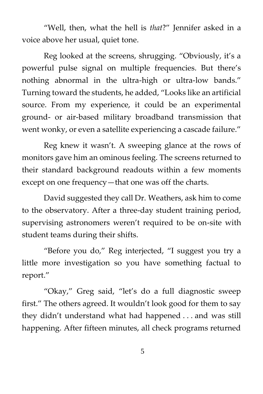"Well, then, what the hell is *that*?" Jennifer asked in a voice above her usual, quiet tone.

Reg looked at the screens, shrugging. "Obviously, it's a powerful pulse signal on multiple frequencies. But there's nothing abnormal in the ultra-high or ultra-low bands." Turning toward the students, he added, "Looks like an artificial source. From my experience, it could be an experimental ground- or air-based military broadband transmission that went wonky, or even a satellite experiencing a cascade failure."

Reg knew it wasn't. A sweeping glance at the rows of monitors gave him an ominous feeling. The screens returned to their standard background readouts within a few moments except on one frequency—that one was off the charts.

David suggested they call Dr. Weathers, ask him to come to the observatory. After a three-day student training period, supervising astronomers weren't required to be on-site with student teams during their shifts.

"Before you do," Reg interjected, "I suggest you try a little more investigation so you have something factual to report."

"Okay," Greg said, "let's do a full diagnostic sweep first." The others agreed. It wouldn't look good for them to say they didn't understand what had happened . . . and was still happening. After fifteen minutes, all check programs returned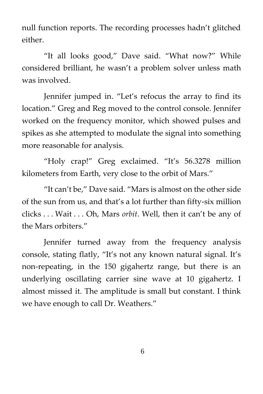null function reports. The recording processes hadn't glitched either.

"It all looks good," Dave said. "What now?" While considered brilliant, he wasn't a problem solver unless math was involved.

Jennifer jumped in. "Let's refocus the array to find its location." Greg and Reg moved to the control console. Jennifer worked on the frequency monitor, which showed pulses and spikes as she attempted to modulate the signal into something more reasonable for analysis.

"Holy crap!" Greg exclaimed. "It's 56.3278 million kilometers from Earth, very close to the orbit of Mars."

"It can't be," Dave said. "Mars is almost on the other side of the sun from us, and that's a lot further than fifty-six million clicks . . . Wait . . . Oh, Mars *orbit*. Well, then it can't be any of the Mars orbiters."

Jennifer turned away from the frequency analysis console, stating flatly, "It's not any known natural signal. It's non-repeating, in the 150 gigahertz range, but there is an underlying oscillating carrier sine wave at 10 gigahertz. I almost missed it. The amplitude is small but constant. I think we have enough to call Dr. Weathers."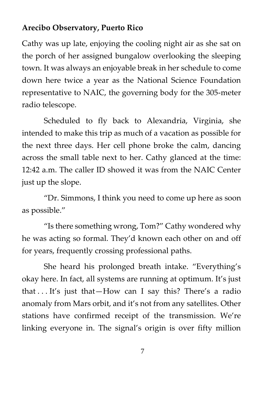#### **Arecibo Observatory, Puerto Rico**

Cathy was up late, enjoying the cooling night air as she sat on the porch of her assigned bungalow overlooking the sleeping town. It was always an enjoyable break in her schedule to come down here twice a year as the National Science Foundation representative to NAIC, the governing body for the 305-meter radio telescope.

Scheduled to fly back to Alexandria, Virginia, she intended to make this trip as much of a vacation as possible for the next three days. Her cell phone broke the calm, dancing across the small table next to her. Cathy glanced at the time: 12:42 a.m. The caller ID showed it was from the NAIC Center just up the slope.

"Dr. Simmons, I think you need to come up here as soon as possible."

"Is there something wrong, Tom?" Cathy wondered why he was acting so formal. They'd known each other on and off for years, frequently crossing professional paths.

She heard his prolonged breath intake. "Everything's okay here. In fact, all systems are running at optimum. It's just that . . . It's just that—How can I say this? There's a radio anomaly from Mars orbit, and it's not from any satellites. Other stations have confirmed receipt of the transmission. We're linking everyone in. The signal's origin is over fifty million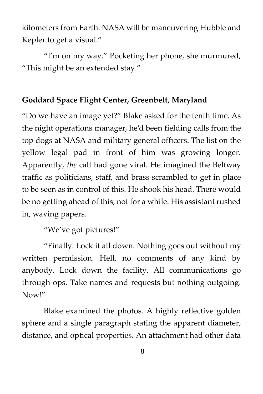kilometers from Earth. NASA will be maneuvering Hubble and Kepler to get a visual."

"I'm on my way." Pocketing her phone, she murmured, "This might be an extended stay."

## **Goddard Space Flight Center, Greenbelt, Maryland**

"Do we have an image yet?" Blake asked for the tenth time. As the night operations manager, he'd been fielding calls from the top dogs at NASA and military general officers. The list on the yellow legal pad in front of him was growing longer. Apparently, *the* call had gone viral. He imagined the Beltway traffic as politicians, staff, and brass scrambled to get in place to be seen as in control of this. He shook his head. There would be no getting ahead of this, not for a while. His assistant rushed in, waving papers.

"We've got pictures!"

"Finally. Lock it all down. Nothing goes out without my written permission. Hell, no comments of any kind by anybody. Lock down the facility. All communications go through ops. Take names and requests but nothing outgoing. Now!"

Blake examined the photos. A highly reflective golden sphere and a single paragraph stating the apparent diameter, distance, and optical properties. An attachment had other data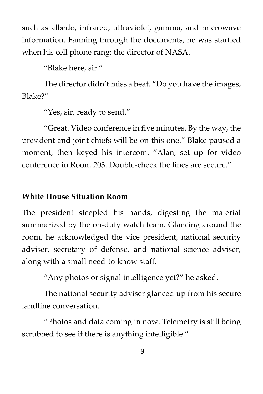such as albedo, infrared, ultraviolet, gamma, and microwave information. Fanning through the documents, he was startled when his cell phone rang: the director of NASA.

"Blake here, sir."

The director didn't miss a beat. "Do you have the images, Blake?"

"Yes, sir, ready to send."

"Great. Video conference in five minutes. By the way, the president and joint chiefs will be on this one." Blake paused a moment, then keyed his intercom. "Alan, set up for video conference in Room 203. Double-check the lines are secure."

## **White House Situation Room**

The president steepled his hands, digesting the material summarized by the on-duty watch team. Glancing around the room, he acknowledged the vice president, national security adviser, secretary of defense, and national science adviser, along with a small need-to-know staff.

"Any photos or signal intelligence yet?" he asked.

The national security adviser glanced up from his secure landline conversation.

"Photos and data coming in now. Telemetry is still being scrubbed to see if there is anything intelligible."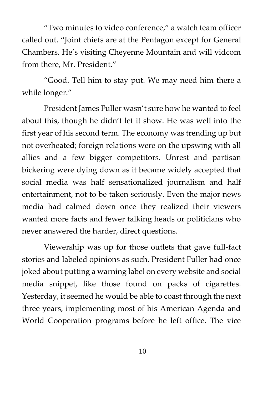"Two minutes to video conference," a watch team officer called out. "Joint chiefs are at the Pentagon except for General Chambers. He's visiting Cheyenne Mountain and will vidcom from there, Mr. President."

"Good. Tell him to stay put. We may need him there a while longer."

President James Fuller wasn't sure how he wanted to feel about this, though he didn't let it show. He was well into the first year of his second term. The economy was trending up but not overheated; foreign relations were on the upswing with all allies and a few bigger competitors. Unrest and partisan bickering were dying down as it became widely accepted that social media was half sensationalized journalism and half entertainment, not to be taken seriously. Even the major news media had calmed down once they realized their viewers wanted more facts and fewer talking heads or politicians who never answered the harder, direct questions.

Viewership was up for those outlets that gave full-fact stories and labeled opinions as such. President Fuller had once joked about putting a warning label on every website and social media snippet, like those found on packs of cigarettes. Yesterday, it seemed he would be able to coast through the next three years, implementing most of his American Agenda and World Cooperation programs before he left office. The vice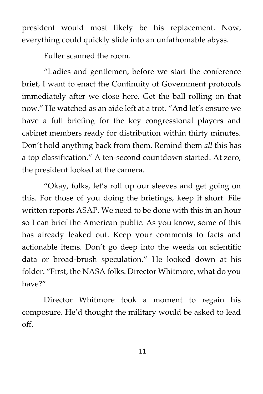president would most likely be his replacement. Now, everything could quickly slide into an unfathomable abyss.

Fuller scanned the room.

"Ladies and gentlemen, before we start the conference brief, I want to enact the Continuity of Government protocols immediately after we close here. Get the ball rolling on that now." He watched as an aide left at a trot. "And let's ensure we have a full briefing for the key congressional players and cabinet members ready for distribution within thirty minutes. Don't hold anything back from them. Remind them *all* this has a top classification." A ten-second countdown started. At zero, the president looked at the camera.

"Okay, folks, let's roll up our sleeves and get going on this. For those of you doing the briefings, keep it short. File written reports ASAP. We need to be done with this in an hour so I can brief the American public. As you know, some of this has already leaked out. Keep your comments to facts and actionable items. Don't go deep into the weeds on scientific data or broad-brush speculation." He looked down at his folder. "First, the NASA folks. Director Whitmore, what do you have?"

Director Whitmore took a moment to regain his composure. He'd thought the military would be asked to lead off.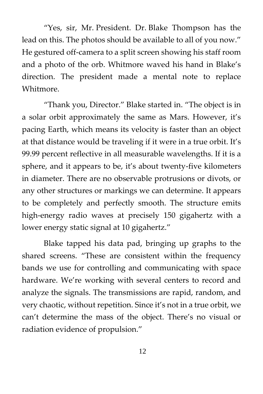"Yes, sir, Mr. President. Dr. Blake Thompson has the lead on this. The photos should be available to all of you now." He gestured off-camera to a split screen showing his staff room and a photo of the orb. Whitmore waved his hand in Blake's direction. The president made a mental note to replace Whitmore.

"Thank you, Director." Blake started in. "The object is in a solar orbit approximately the same as Mars. However, it's pacing Earth, which means its velocity is faster than an object at that distance would be traveling if it were in a true orbit. It's 99.99 percent reflective in all measurable wavelengths. If it is a sphere, and it appears to be, it's about twenty-five kilometers in diameter. There are no observable protrusions or divots, or any other structures or markings we can determine. It appears to be completely and perfectly smooth. The structure emits high-energy radio waves at precisely 150 gigahertz with a lower energy static signal at 10 gigahertz."

Blake tapped his data pad, bringing up graphs to the shared screens. "These are consistent within the frequency bands we use for controlling and communicating with space hardware. We're working with several centers to record and analyze the signals. The transmissions are rapid, random, and very chaotic, without repetition. Since it's not in a true orbit, we can't determine the mass of the object. There's no visual or radiation evidence of propulsion."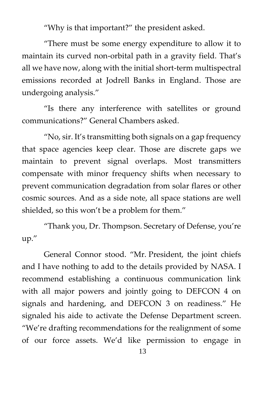"Why is that important?" the president asked.

"There must be some energy expenditure to allow it to maintain its curved non-orbital path in a gravity field. That's all we have now, along with the initial short-term multispectral emissions recorded at Jodrell Banks in England. Those are undergoing analysis."

"Is there any interference with satellites or ground communications?" General Chambers asked.

"No, sir. It's transmitting both signals on a gap frequency that space agencies keep clear. Those are discrete gaps we maintain to prevent signal overlaps. Most transmitters compensate with minor frequency shifts when necessary to prevent communication degradation from solar flares or other cosmic sources. And as a side note, all space stations are well shielded, so this won't be a problem for them."

"Thank you, Dr. Thompson. Secretary of Defense, you're up."

General Connor stood. "Mr. President, the joint chiefs and I have nothing to add to the details provided by NASA. I recommend establishing a continuous communication link with all major powers and jointly going to DEFCON 4 on signals and hardening, and DEFCON 3 on readiness." He signaled his aide to activate the Defense Department screen. "We're drafting recommendations for the realignment of some of our force assets. We'd like permission to engage in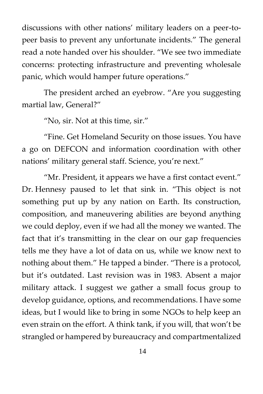discussions with other nations' military leaders on a peer-topeer basis to prevent any unfortunate incidents." The general read a note handed over his shoulder. "We see two immediate concerns: protecting infrastructure and preventing wholesale panic, which would hamper future operations."

The president arched an eyebrow. "Are you suggesting martial law, General?"

"No, sir. Not at this time, sir."

"Fine. Get Homeland Security on those issues. You have a go on DEFCON and information coordination with other nations' military general staff. Science, you're next."

"Mr. President, it appears we have a first contact event." Dr. Hennesy paused to let that sink in. "This object is not something put up by any nation on Earth. Its construction, composition, and maneuvering abilities are beyond anything we could deploy, even if we had all the money we wanted. The fact that it's transmitting in the clear on our gap frequencies tells me they have a lot of data on us, while we know next to nothing about them." He tapped a binder. "There is a protocol, but it's outdated. Last revision was in 1983. Absent a major military attack. I suggest we gather a small focus group to develop guidance, options, and recommendations. I have some ideas, but I would like to bring in some NGOs to help keep an even strain on the effort. A think tank, if you will, that won't be strangled or hampered by bureaucracy and compartmentalized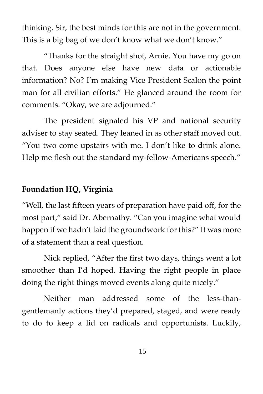thinking. Sir, the best minds for this are not in the government. This is a big bag of we don't know what we don't know."

"Thanks for the straight shot, Arnie. You have my go on that. Does anyone else have new data or actionable information? No? I'm making Vice President Scalon the point man for all civilian efforts." He glanced around the room for comments. "Okay, we are adjourned."

The president signaled his VP and national security adviser to stay seated. They leaned in as other staff moved out. "You two come upstairs with me. I don't like to drink alone. Help me flesh out the standard my-fellow-Americans speech."

#### **Foundation HQ, Virginia**

"Well, the last fifteen years of preparation have paid off, for the most part," said Dr. Abernathy. "Can you imagine what would happen if we hadn't laid the groundwork for this?" It was more of a statement than a real question.

Nick replied, "After the first two days, things went a lot smoother than I'd hoped. Having the right people in place doing the right things moved events along quite nicely."

Neither man addressed some of the less-thangentlemanly actions they'd prepared, staged, and were ready to do to keep a lid on radicals and opportunists. Luckily,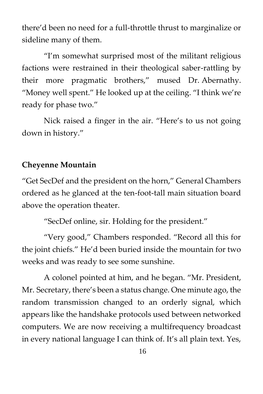there'd been no need for a full-throttle thrust to marginalize or sideline many of them.

"I'm somewhat surprised most of the militant religious factions were restrained in their theological saber-rattling by their more pragmatic brothers," mused Dr. Abernathy. "Money well spent." He looked up at the ceiling. "I think we're ready for phase two."

Nick raised a finger in the air. "Here's to us not going down in history."

#### **Cheyenne Mountain**

"Get SecDef and the president on the horn," General Chambers ordered as he glanced at the ten-foot-tall main situation board above the operation theater.

"SecDef online, sir. Holding for the president."

"Very good," Chambers responded. "Record all this for the joint chiefs." He'd been buried inside the mountain for two weeks and was ready to see some sunshine.

A colonel pointed at him, and he began. "Mr. President, Mr. Secretary, there's been a status change. One minute ago, the random transmission changed to an orderly signal, which appears like the handshake protocols used between networked computers. We are now receiving a multifrequency broadcast in every national language I can think of. It's all plain text. Yes,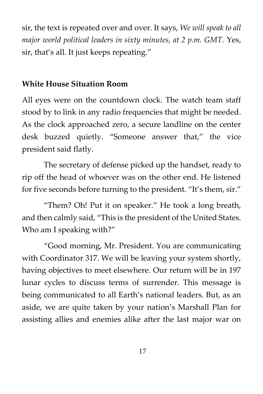sir, the text is repeated over and over. It says, *We will speak to all major world political leaders in sixty minutes, at 2 p.m. GMT.* Yes, sir, that's all. It just keeps repeating."

#### **White House Situation Room**

All eyes were on the countdown clock. The watch team staff stood by to link in any radio frequencies that might be needed. As the clock approached zero, a secure landline on the center desk buzzed quietly. "Someone answer that," the vice president said flatly.

The secretary of defense picked up the handset, ready to rip off the head of whoever was on the other end. He listened for five seconds before turning to the president. "It's them, sir."

"Them? Oh! Put it on speaker." He took a long breath, and then calmly said, "This is the president of the United States. Who am I speaking with?"

"Good morning, Mr. President. You are communicating with Coordinator 317. We will be leaving your system shortly, having objectives to meet elsewhere. Our return will be in 197 lunar cycles to discuss terms of surrender. This message is being communicated to all Earth's national leaders. But, as an aside, we are quite taken by your nation's Marshall Plan for assisting allies and enemies alike after the last major war on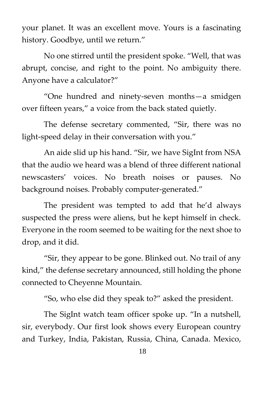your planet. It was an excellent move. Yours is a fascinating history. Goodbye, until we return."

No one stirred until the president spoke. "Well, that was abrupt, concise, and right to the point. No ambiguity there. Anyone have a calculator?"

"One hundred and ninety-seven months—a smidgen over fifteen years," a voice from the back stated quietly.

The defense secretary commented, "Sir, there was no light-speed delay in their conversation with you."

An aide slid up his hand. "Sir, we have SigInt from NSA that the audio we heard was a blend of three different national newscasters' voices. No breath noises or pauses. No background noises. Probably computer-generated."

The president was tempted to add that he'd always suspected the press were aliens, but he kept himself in check. Everyone in the room seemed to be waiting for the next shoe to drop, and it did.

"Sir, they appear to be gone. Blinked out. No trail of any kind," the defense secretary announced, still holding the phone connected to Cheyenne Mountain.

"So, who else did they speak to?" asked the president.

The SigInt watch team officer spoke up. "In a nutshell, sir, everybody. Our first look shows every European country and Turkey, India, Pakistan, Russia, China, Canada. Mexico,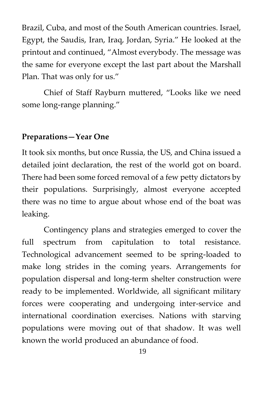Brazil, Cuba, and most of the South American countries. Israel, Egypt, the Saudis, Iran, Iraq, Jordan, Syria." He looked at the printout and continued, "Almost everybody. The message was the same for everyone except the last part about the Marshall Plan. That was only for us."

Chief of Staff Rayburn muttered, "Looks like we need some long-range planning."

#### **Preparations—Year One**

It took six months, but once Russia, the US, and China issued a detailed joint declaration, the rest of the world got on board. There had been some forced removal of a few petty dictators by their populations. Surprisingly, almost everyone accepted there was no time to argue about whose end of the boat was leaking.

Contingency plans and strategies emerged to cover the full spectrum from capitulation to total resistance. Technological advancement seemed to be spring-loaded to make long strides in the coming years. Arrangements for population dispersal and long-term shelter construction were ready to be implemented. Worldwide, all significant military forces were cooperating and undergoing inter-service and international coordination exercises. Nations with starving populations were moving out of that shadow. It was well known the world produced an abundance of food.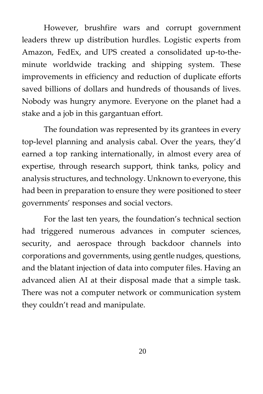However, brushfire wars and corrupt government leaders threw up distribution hurdles. Logistic experts from Amazon, FedEx, and UPS created a consolidated up-to-theminute worldwide tracking and shipping system. These improvements in efficiency and reduction of duplicate efforts saved billions of dollars and hundreds of thousands of lives. Nobody was hungry anymore. Everyone on the planet had a stake and a job in this gargantuan effort.

The foundation was represented by its grantees in every top-level planning and analysis cabal. Over the years, they'd earned a top ranking internationally, in almost every area of expertise, through research support, think tanks, policy and analysis structures, and technology. Unknown to everyone, this had been in preparation to ensure they were positioned to steer governments' responses and social vectors.

For the last ten years, the foundation's technical section had triggered numerous advances in computer sciences, security, and aerospace through backdoor channels into corporations and governments, using gentle nudges, questions, and the blatant injection of data into computer files. Having an advanced alien AI at their disposal made that a simple task. There was not a computer network or communication system they couldn't read and manipulate.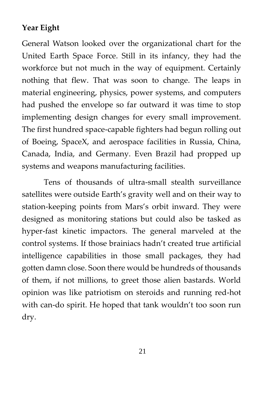## **Year Eight**

General Watson looked over the organizational chart for the United Earth Space Force. Still in its infancy, they had the workforce but not much in the way of equipment. Certainly nothing that flew. That was soon to change. The leaps in material engineering, physics, power systems, and computers had pushed the envelope so far outward it was time to stop implementing design changes for every small improvement. The first hundred space-capable fighters had begun rolling out of Boeing, SpaceX, and aerospace facilities in Russia, China, Canada, India, and Germany. Even Brazil had propped up systems and weapons manufacturing facilities.

Tens of thousands of ultra-small stealth surveillance satellites were outside Earth's gravity well and on their way to station-keeping points from Mars's orbit inward. They were designed as monitoring stations but could also be tasked as hyper-fast kinetic impactors. The general marveled at the control systems. If those brainiacs hadn't created true artificial intelligence capabilities in those small packages, they had gotten damn close. Soon there would be hundreds of thousands of them, if not millions, to greet those alien bastards. World opinion was like patriotism on steroids and running red-hot with can-do spirit. He hoped that tank wouldn't too soon run dry.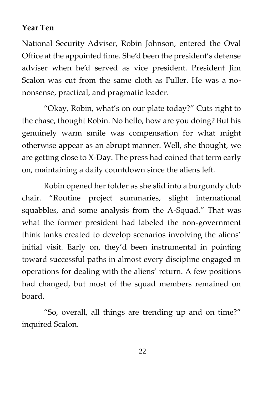#### **Year Ten**

National Security Adviser, Robin Johnson, entered the Oval Office at the appointed time. She'd been the president's defense adviser when he'd served as vice president. President Jim Scalon was cut from the same cloth as Fuller. He was a nononsense, practical, and pragmatic leader.

"Okay, Robin, what's on our plate today?" Cuts right to the chase, thought Robin. No hello, how are you doing? But his genuinely warm smile was compensation for what might otherwise appear as an abrupt manner. Well, she thought, we are getting close to X-Day. The press had coined that term early on, maintaining a daily countdown since the aliens left.

Robin opened her folder as she slid into a burgundy club chair. "Routine project summaries, slight international squabbles, and some analysis from the A-Squad." That was what the former president had labeled the non-government think tanks created to develop scenarios involving the aliens' initial visit. Early on, they'd been instrumental in pointing toward successful paths in almost every discipline engaged in operations for dealing with the aliens' return. A few positions had changed, but most of the squad members remained on board.

"So, overall, all things are trending up and on time?" inquired Scalon.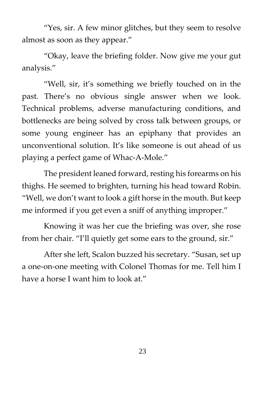"Yes, sir. A few minor glitches, but they seem to resolve almost as soon as they appear."

"Okay, leave the briefing folder. Now give me your gut analysis."

"Well, sir, it's something we briefly touched on in the past. There's no obvious single answer when we look. Technical problems, adverse manufacturing conditions, and bottlenecks are being solved by cross talk between groups, or some young engineer has an epiphany that provides an unconventional solution. It's like someone is out ahead of us playing a perfect game of Whac-A-Mole."

The president leaned forward, resting his forearms on his thighs. He seemed to brighten, turning his head toward Robin. "Well, we don't want to look a gift horse in the mouth. But keep me informed if you get even a sniff of anything improper."

Knowing it was her cue the briefing was over, she rose from her chair. "I'll quietly get some ears to the ground, sir."

After she left, Scalon buzzed his secretary. "Susan, set up a one-on-one meeting with Colonel Thomas for me. Tell him I have a horse I want him to look at."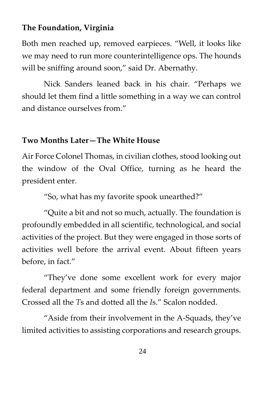#### **The Foundation, Virginia**

Both men reached up, removed earpieces. "Well, it looks like we may need to run more counterintelligence ops. The hounds will be sniffing around soon," said Dr. Abernathy.

Nick Sanders leaned back in his chair. "Perhaps we should let them find a little something in a way we can control and distance ourselves from."

## **Two Months Later—The White House**

Air Force Colonel Thomas, in civilian clothes, stood looking out the window of the Oval Office, turning as he heard the president enter.

"So, what has my favorite spook unearthed?"

"Quite a bit and not so much, actually. The foundation is profoundly embedded in all scientific, technological, and social activities of the project. But they were engaged in those sorts of activities well before the arrival event. About fifteen years before, in fact."

"They've done some excellent work for every major federal department and some friendly foreign governments. Crossed all the *T*s and dotted all the *I*s." Scalon nodded.

"Aside from their involvement in the A-Squads, they've limited activities to assisting corporations and research groups.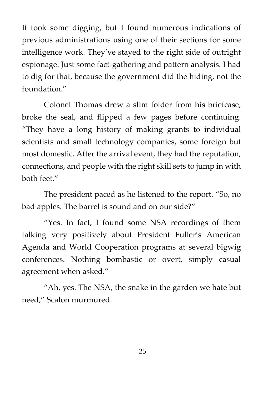It took some digging, but I found numerous indications of previous administrations using one of their sections for some intelligence work. They've stayed to the right side of outright espionage. Just some fact-gathering and pattern analysis. I had to dig for that, because the government did the hiding, not the foundation."

Colonel Thomas drew a slim folder from his briefcase, broke the seal, and flipped a few pages before continuing. "They have a long history of making grants to individual scientists and small technology companies, some foreign but most domestic. After the arrival event, they had the reputation, connections, and people with the right skill sets to jump in with both feet."

The president paced as he listened to the report. "So, no bad apples. The barrel is sound and on our side?"

"Yes. In fact, I found some NSA recordings of them talking very positively about President Fuller's American Agenda and World Cooperation programs at several bigwig conferences. Nothing bombastic or overt, simply casual agreement when asked."

"Ah, yes. The NSA, the snake in the garden we hate but need," Scalon murmured.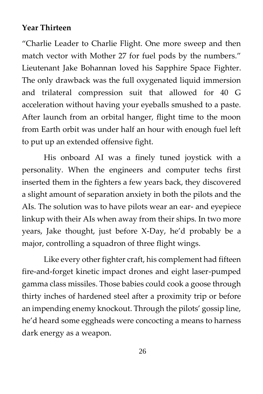#### **Year Thirteen**

"Charlie Leader to Charlie Flight. One more sweep and then match vector with Mother 27 for fuel pods by the numbers." Lieutenant Jake Bohannan loved his Sapphire Space Fighter. The only drawback was the full oxygenated liquid immersion and trilateral compression suit that allowed for 40 G acceleration without having your eyeballs smushed to a paste. After launch from an orbital hanger, flight time to the moon from Earth orbit was under half an hour with enough fuel left to put up an extended offensive fight.

His onboard AI was a finely tuned joystick with a personality. When the engineers and computer techs first inserted them in the fighters a few years back, they discovered a slight amount of separation anxiety in both the pilots and the AIs. The solution was to have pilots wear an ear- and eyepiece linkup with their AIs when away from their ships. In two more years, Jake thought, just before X-Day, he'd probably be a major, controlling a squadron of three flight wings.

Like every other fighter craft, his complement had fifteen fire-and-forget kinetic impact drones and eight laser-pumped gamma class missiles. Those babies could cook a goose through thirty inches of hardened steel after a proximity trip or before an impending enemy knockout. Through the pilots' gossip line, he'd heard some eggheads were concocting a means to harness dark energy as a weapon.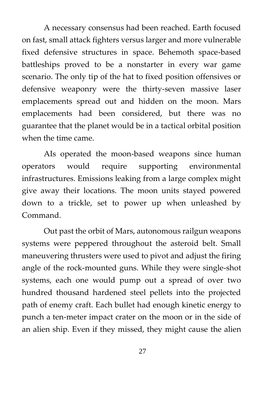A necessary consensus had been reached. Earth focused on fast, small attack fighters versus larger and more vulnerable fixed defensive structures in space. Behemoth space-based battleships proved to be a nonstarter in every war game scenario. The only tip of the hat to fixed position offensives or defensive weaponry were the thirty-seven massive laser emplacements spread out and hidden on the moon. Mars emplacements had been considered, but there was no guarantee that the planet would be in a tactical orbital position when the time came.

AIs operated the moon-based weapons since human operators would require supporting environmental infrastructures. Emissions leaking from a large complex might give away their locations. The moon units stayed powered down to a trickle, set to power up when unleashed by Command.

Out past the orbit of Mars, autonomous railgun weapons systems were peppered throughout the asteroid belt. Small maneuvering thrusters were used to pivot and adjust the firing angle of the rock-mounted guns. While they were single-shot systems, each one would pump out a spread of over two hundred thousand hardened steel pellets into the projected path of enemy craft. Each bullet had enough kinetic energy to punch a ten-meter impact crater on the moon or in the side of an alien ship. Even if they missed, they might cause the alien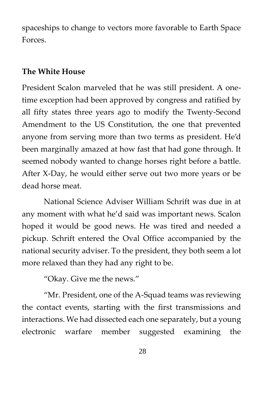spaceships to change to vectors more favorable to Earth Space Forces.

#### **The White House**

President Scalon marveled that he was still president. A onetime exception had been approved by congress and ratified by all fifty states three years ago to modify the Twenty-Second Amendment to the US Constitution, the one that prevented anyone from serving more than two terms as president. He'd been marginally amazed at how fast that had gone through. It seemed nobody wanted to change horses right before a battle. After X-Day, he would either serve out two more years or be dead horse meat.

National Science Adviser William Schrift was due in at any moment with what he'd said was important news. Scalon hoped it would be good news. He was tired and needed a pickup. Schrift entered the Oval Office accompanied by the national security adviser. To the president, they both seem a lot more relaxed than they had any right to be.

"Okay. Give me the news."

"Mr. President, one of the A-Squad teams was reviewing the contact events, starting with the first transmissions and interactions. We had dissected each one separately, but a young electronic warfare member suggested examining the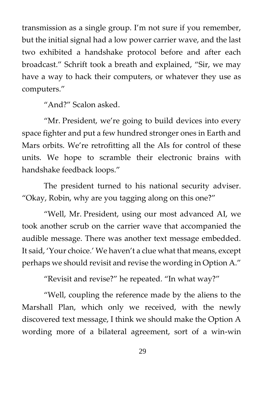transmission as a single group. I'm not sure if you remember, but the initial signal had a low power carrier wave, and the last two exhibited a handshake protocol before and after each broadcast." Schrift took a breath and explained, "Sir, we may have a way to hack their computers, or whatever they use as computers."

"And?" Scalon asked.

"Mr. President, we're going to build devices into every space fighter and put a few hundred stronger ones in Earth and Mars orbits. We're retrofitting all the AIs for control of these units. We hope to scramble their electronic brains with handshake feedback loops."

The president turned to his national security adviser. "Okay, Robin, why are you tagging along on this one?"

"Well, Mr. President, using our most advanced AI, we took another scrub on the carrier wave that accompanied the audible message. There was another text message embedded. It said, 'Your choice.' We haven't a clue what that means, except perhaps we should revisit and revise the wording in Option A."

"Revisit and revise?" he repeated. "In what way?"

"Well, coupling the reference made by the aliens to the Marshall Plan, which only we received, with the newly discovered text message, I think we should make the Option A wording more of a bilateral agreement, sort of a win-win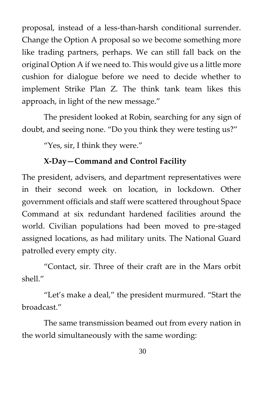proposal, instead of a less-than-harsh conditional surrender. Change the Option A proposal so we become something more like trading partners, perhaps. We can still fall back on the original Option A if we need to. This would give us a little more cushion for dialogue before we need to decide whether to implement Strike Plan Z. The think tank team likes this approach, in light of the new message."

The president looked at Robin, searching for any sign of doubt, and seeing none. "Do you think they were testing us?"

"Yes, sir, I think they were."

# **X-Day—Command and Control Facility**

The president, advisers, and department representatives were in their second week on location, in lockdown. Other government officials and staff were scattered throughout Space Command at six redundant hardened facilities around the world. Civilian populations had been moved to pre-staged assigned locations, as had military units. The National Guard patrolled every empty city.

"Contact, sir. Three of their craft are in the Mars orbit shell."

"Let's make a deal," the president murmured. "Start the broadcast."

The same transmission beamed out from every nation in the world simultaneously with the same wording: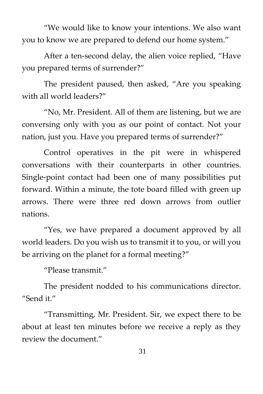"We would like to know your intentions. We also want you to know we are prepared to defend our home system."

After a ten-second delay, the alien voice replied, "Have you prepared terms of surrender?"

The president paused, then asked, "Are you speaking with all world leaders?"

"No, Mr. President. All of them are listening, but we are conversing only with you as our point of contact. Not your nation, just you. Have you prepared terms of surrender?"

Control operatives in the pit were in whispered conversations with their counterparts in other countries. Single-point contact had been one of many possibilities put forward. Within a minute, the tote board filled with green up arrows. There were three red down arrows from outlier nations.

"Yes, we have prepared a document approved by all world leaders. Do you wish us to transmit it to you, or will you be arriving on the planet for a formal meeting?"

"Please transmit."

The president nodded to his communications director. "Send it."

"Transmitting, Mr. President. Sir, we expect there to be about at least ten minutes before we receive a reply as they review the document."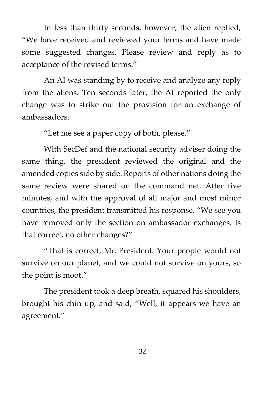In less than thirty seconds, however, the alien replied, "We have received and reviewed your terms and have made some suggested changes. Please review and reply as to acceptance of the revised terms."

An AI was standing by to receive and analyze any reply from the aliens. Ten seconds later, the AI reported the only change was to strike out the provision for an exchange of ambassadors.

"Let me see a paper copy of both, please."

With SecDef and the national security adviser doing the same thing, the president reviewed the original and the amended copies side by side. Reports of other nations doing the same review were shared on the command net. After five minutes, and with the approval of all major and most minor countries, the president transmitted his response. "We see you have removed only the section on ambassador exchanges. Is that correct, no other changes?"

"That is correct, Mr. President. Your people would not survive on our planet, and we could not survive on yours, so the point is moot."

The president took a deep breath, squared his shoulders, brought his chin up, and said, "Well, it appears we have an agreement."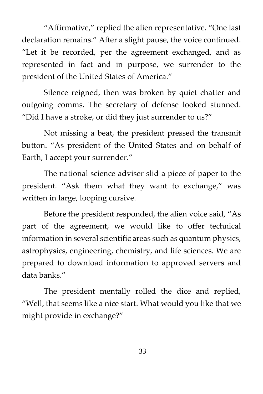"Affirmative," replied the alien representative. "One last declaration remains." After a slight pause, the voice continued. "Let it be recorded, per the agreement exchanged, and as represented in fact and in purpose, we surrender to the president of the United States of America."

Silence reigned, then was broken by quiet chatter and outgoing comms. The secretary of defense looked stunned. "Did I have a stroke, or did they just surrender to us?"

Not missing a beat, the president pressed the transmit button. "As president of the United States and on behalf of Earth, I accept your surrender."

The national science adviser slid a piece of paper to the president. "Ask them what they want to exchange," was written in large, looping cursive.

Before the president responded, the alien voice said, "As part of the agreement, we would like to offer technical information in several scientific areas such as quantum physics, astrophysics, engineering, chemistry, and life sciences. We are prepared to download information to approved servers and data banks."

The president mentally rolled the dice and replied, "Well, that seems like a nice start. What would you like that we might provide in exchange?"